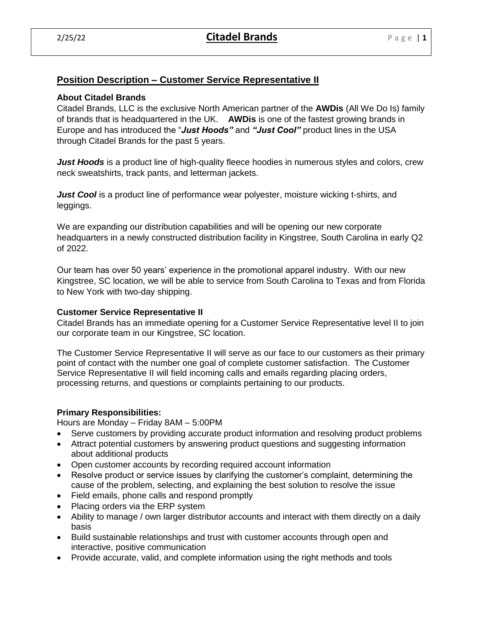# **Position Description – Customer Service Representative II**

## **About Citadel Brands**

Citadel Brands, LLC is the exclusive North American partner of the **AWDis** (All We Do Is) family of brands that is headquartered in the UK. **AWDis** is one of the fastest growing brands in Europe and has introduced the "*Just Hoods"* and *"Just Cool"* product lines in the USA through Citadel Brands for the past 5 years.

*Just Hoods* is a product line of high-quality fleece hoodies in numerous styles and colors, crew neck sweatshirts, track pants, and letterman jackets.

*Just Cool* is a product line of performance wear polyester, moisture wicking t-shirts, and leggings.

We are expanding our distribution capabilities and will be opening our new corporate headquarters in a newly constructed distribution facility in Kingstree, South Carolina in early Q2 of 2022.

Our team has over 50 years' experience in the promotional apparel industry. With our new Kingstree, SC location, we will be able to service from South Carolina to Texas and from Florida to New York with two-day shipping.

### **Customer Service Representative II**

Citadel Brands has an immediate opening for a Customer Service Representative level II to join our corporate team in our Kingstree, SC location.

The Customer Service Representative II will serve as our face to our customers as their primary point of contact with the number one goal of complete customer satisfaction. The Customer Service Representative II will field incoming calls and emails regarding placing orders, processing returns, and questions or complaints pertaining to our products.

## **Primary Responsibilities:**

Hours are Monday – Friday 8AM – 5:00PM

- Serve customers by providing accurate product information and resolving product problems
- Attract potential customers by answering product questions and suggesting information about additional products
- Open customer accounts by recording required account information
- Resolve product or service issues by clarifying the customer's complaint, determining the cause of the problem, selecting, and explaining the best solution to resolve the issue
- Field emails, phone calls and respond promptly
- Placing orders via the ERP system
- Ability to manage / own larger distributor accounts and interact with them directly on a daily basis
- Build sustainable relationships and trust with customer accounts through open and interactive, positive communication
- Provide accurate, valid, and complete information using the right methods and tools